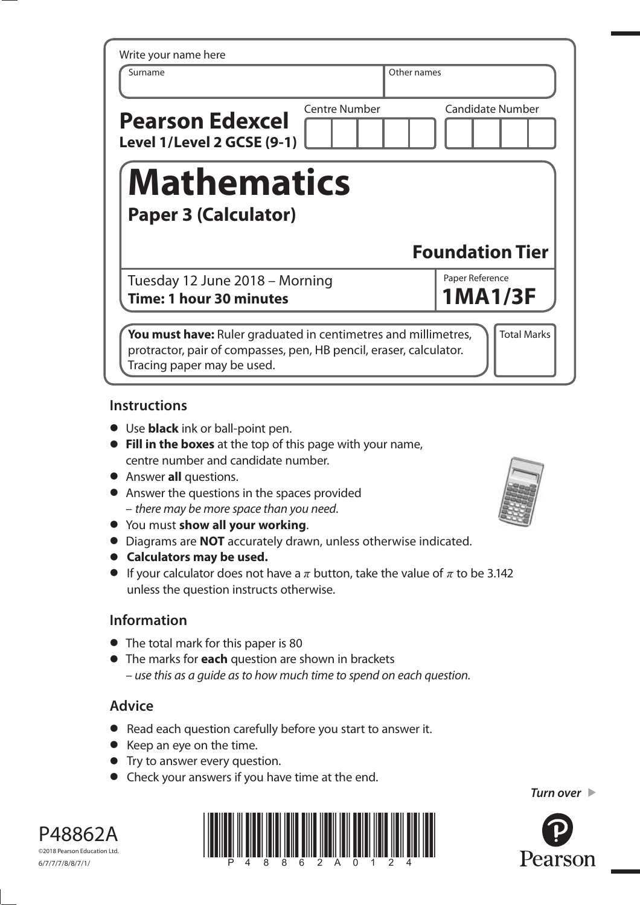| Surname                                              |                      | Other names             |
|------------------------------------------------------|----------------------|-------------------------|
| <b>Pearson Edexcel</b><br>Level 1/Level 2 GCSE (9-1) | <b>Centre Number</b> | <b>Candidate Number</b> |
| <b>Mathematics</b><br><b>Paper 3 (Calculator)</b>    |                      |                         |
|                                                      |                      |                         |
|                                                      |                      | <b>Foundation Tier</b>  |
| Tuesday 12 June 2018 - Morning                       |                      | Paper Reference         |
| Time: 1 hour 30 minutes                              |                      | <b>1MA1/3F</b>          |

### **Instructions**

- **•** Use **black** ink or ball-point pen.
- **• Fill in the boxes** at the top of this page with your name, centre number and candidate number.
- **•** Answer **all** questions.
- **•** Answer the questions in the spaces provided – there may be more space than you need.
- **•** You must **show all your working**.
- **•** You must **show all your working**.<br>**•** Diagrams are **NOT** accurately drawn, unless otherwise indicated.
- **•** Diagrams are **NOT** accurate<br>**•** Calculators may be used.
- **• Calculators may be used.**<br>• If your calculator does not have a  $\pi$  button, take the value of  $\pi$  to be 3.142 unless the question instructs otherwise.

# **Information**

- **•** The total mark for this paper is 80
- **•** The marks for **each** question are shown in brackets – use this as a guide as to how much time to spend on each question.

# **Advice**

- **•** Read each question carefully before you start to answer it.
- **•** Keep an eye on the time.
- **•** Try to answer every question.
- **•** Check your answers if you have time at the end.





P48862A ©2018 Pearson Education Ltd. 6/7/7/7/8/8/7/1/



*Turn over*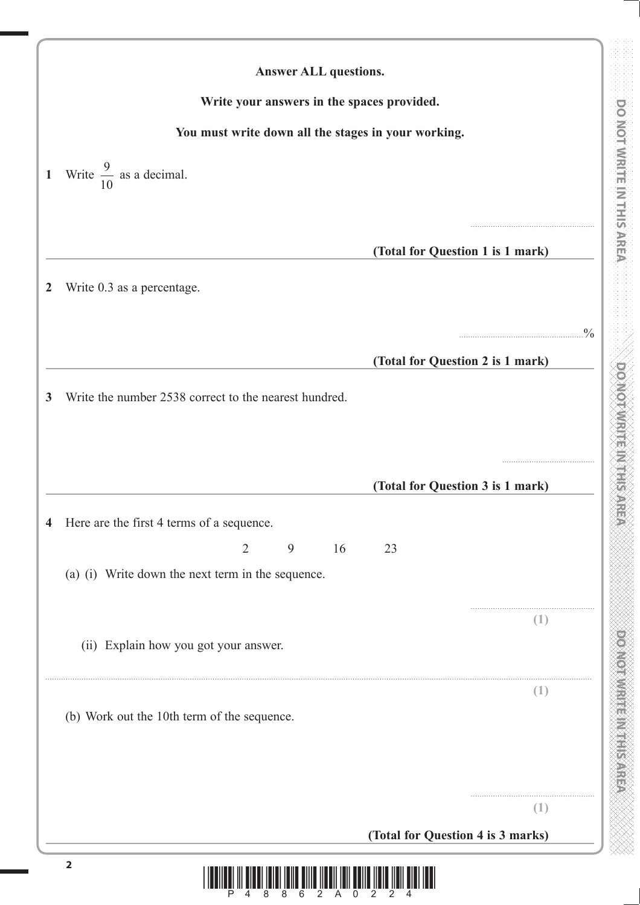| Write your answers in the spaces provided.                 |                                   |               |
|------------------------------------------------------------|-----------------------------------|---------------|
| You must write down all the stages in your working.        |                                   |               |
|                                                            |                                   |               |
| Write $\frac{9}{10}$ as a decimal.<br>$\mathbf{1}$         |                                   |               |
|                                                            |                                   |               |
|                                                            |                                   |               |
|                                                            | (Total for Question 1 is 1 mark)  |               |
| Write 0.3 as a percentage.                                 |                                   |               |
|                                                            |                                   | $\frac{0}{0}$ |
|                                                            | (Total for Question 2 is 1 mark)  |               |
|                                                            |                                   |               |
| Write the number 2538 correct to the nearest hundred.<br>3 |                                   |               |
|                                                            |                                   |               |
|                                                            |                                   |               |
|                                                            | (Total for Question 3 is 1 mark)  |               |
| Here are the first 4 terms of a sequence.                  |                                   |               |
| $\overline{2}$<br>9<br>16                                  | 23                                |               |
| (a) (i) Write down the next term in the sequence.          |                                   |               |
|                                                            |                                   |               |
|                                                            | $(\bot)$                          |               |
| (ii) Explain how you got your answer.                      |                                   |               |
|                                                            | (1)                               |               |
| (b) Work out the 10th term of the sequence.                |                                   |               |
|                                                            |                                   |               |
|                                                            |                                   |               |
|                                                            |                                   |               |
|                                                            | (1)                               |               |
|                                                            | (Total for Question 4 is 3 marks) |               |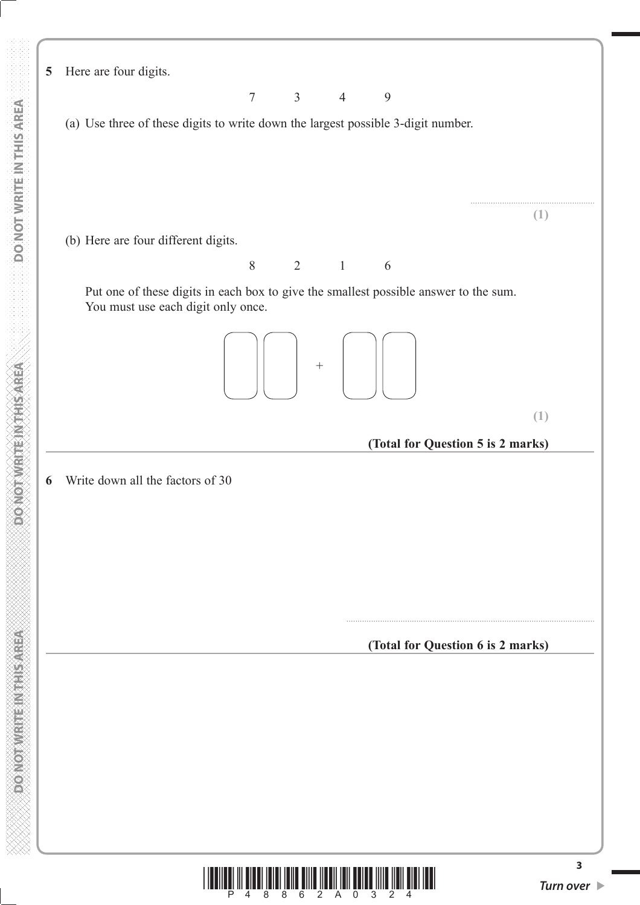|                                   |                                     |                                    | 7     | $\mathfrak{Z}$ | $\overline{4}$ | 9                                                                                    |  |
|-----------------------------------|-------------------------------------|------------------------------------|-------|----------------|----------------|--------------------------------------------------------------------------------------|--|
| DO NOT WRITE IN THIS AREA         |                                     |                                    |       |                |                | (a) Use three of these digits to write down the largest possible 3-digit number.     |  |
|                                   |                                     |                                    |       |                |                |                                                                                      |  |
|                                   |                                     |                                    |       |                |                |                                                                                      |  |
|                                   | (b) Here are four different digits. |                                    |       |                |                |                                                                                      |  |
|                                   |                                     |                                    | $8\,$ | $\overline{2}$ | $\mathbf{1}$   | 6                                                                                    |  |
|                                   |                                     | You must use each digit only once. |       |                |                | Put one of these digits in each box to give the smallest possible answer to the sum. |  |
|                                   |                                     |                                    |       |                |                |                                                                                      |  |
|                                   |                                     |                                    |       |                |                |                                                                                      |  |
|                                   |                                     |                                    |       |                |                | (Total for Question 5 is 2 m                                                         |  |
| <b>DONOTWRITEINTHIS AREA</b><br>6 | Write down all the factors of 30    |                                    |       |                |                |                                                                                      |  |
|                                   |                                     |                                    |       |                |                |                                                                                      |  |
|                                   |                                     |                                    |       |                |                |                                                                                      |  |
|                                   |                                     |                                    |       |                |                |                                                                                      |  |
|                                   |                                     |                                    |       |                |                |                                                                                      |  |
|                                   |                                     |                                    |       |                |                | (Total for Question 6 is 2 m                                                         |  |
|                                   |                                     |                                    |       |                |                |                                                                                      |  |
|                                   |                                     |                                    |       |                |                |                                                                                      |  |
| <b>PONOTWEITEINTHISAREA</b>       |                                     |                                    |       |                |                |                                                                                      |  |
|                                   |                                     |                                    |       |                |                |                                                                                      |  |
|                                   |                                     |                                    |       |                |                |                                                                                      |  |
|                                   |                                     |                                    |       |                |                |                                                                                      |  |
|                                   |                                     |                                    |       |                |                |                                                                                      |  |

**5** Here are four digits.



....................................................... **(1)**

**(1)**

**(Total for Question 5 is 2 marks)**

..............................................................................................................

**(Total for Question 6 is 2 marks)**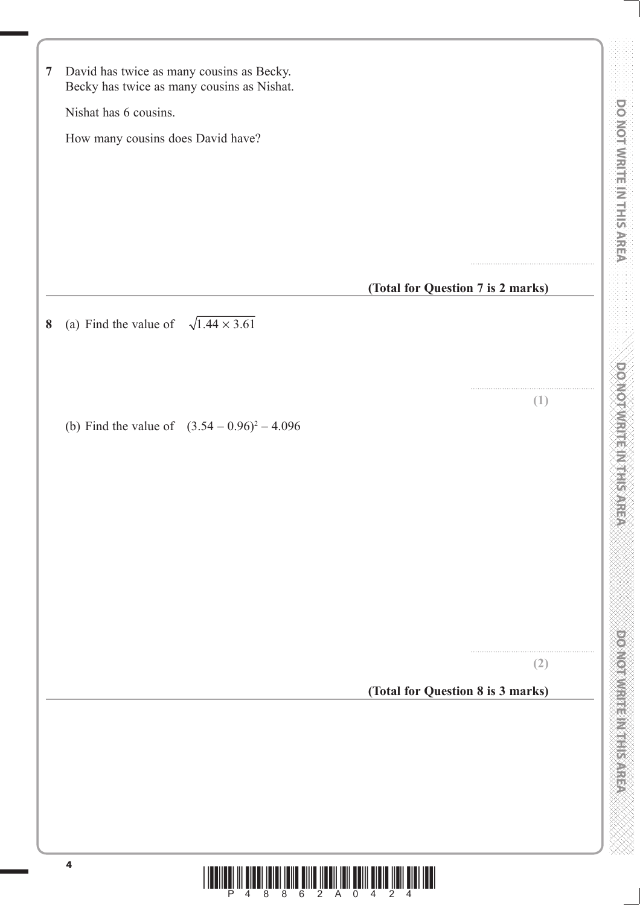| $\overline{7}$ | David has twice as many cousins as Becky.                               |                                   |                         |
|----------------|-------------------------------------------------------------------------|-----------------------------------|-------------------------|
|                | Becky has twice as many cousins as Nishat.                              |                                   |                         |
|                | Nishat has 6 cousins.                                                   |                                   |                         |
|                | How many cousins does David have?                                       |                                   |                         |
|                |                                                                         |                                   |                         |
|                |                                                                         |                                   |                         |
|                |                                                                         |                                   |                         |
|                |                                                                         |                                   |                         |
|                |                                                                         | (Total for Question 7 is 2 marks) |                         |
|                | (a) Find the value of $\sqrt{1.44 \times 3.61}$                         |                                   |                         |
|                |                                                                         |                                   |                         |
|                |                                                                         |                                   |                         |
|                |                                                                         | (1)                               |                         |
|                | (b) Find the value of $(3.54 - 0.96)^2 - 4.096$                         |                                   |                         |
|                |                                                                         |                                   | <b>DOMOTAMENT HERRE</b> |
|                |                                                                         |                                   |                         |
|                |                                                                         |                                   |                         |
|                |                                                                         |                                   |                         |
|                |                                                                         |                                   |                         |
|                |                                                                         |                                   |                         |
|                |                                                                         |                                   |                         |
|                |                                                                         | (2)                               |                         |
|                |                                                                         | (Total for Question 8 is 3 marks) |                         |
|                |                                                                         |                                   |                         |
|                |                                                                         |                                   |                         |
|                |                                                                         |                                   |                         |
|                |                                                                         |                                   |                         |
|                |                                                                         |                                   |                         |
|                |                                                                         |                                   |                         |
|                | $\overline{\mathbf{4}}$<br>6<br>$2^{\circ}$<br>$\overline{A}$<br>8<br>8 | $\Omega$                          |                         |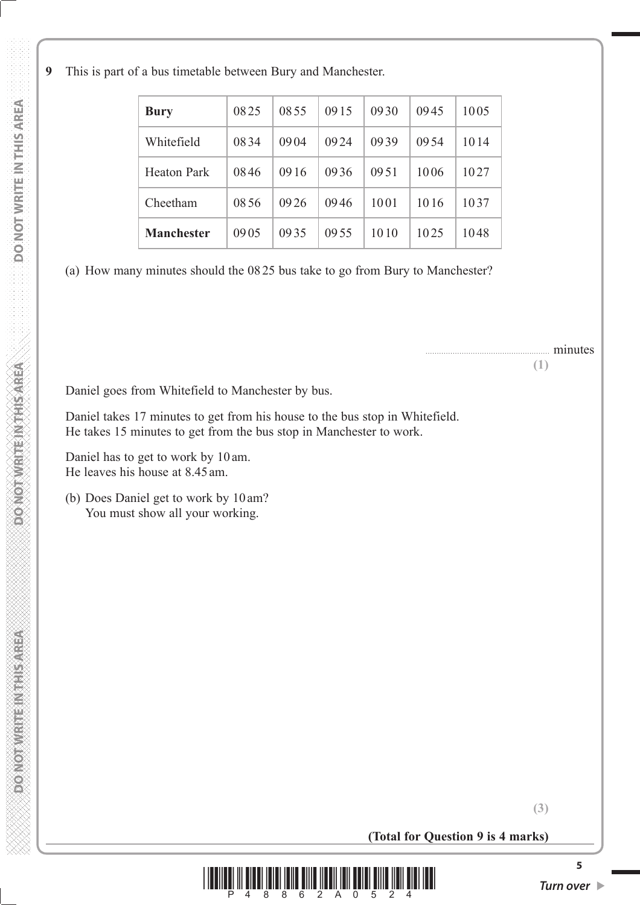**9** This is part of a bus timetable between Bury and Manchester.

| <b>Bury</b>        | 0825 | 0855 | 0915 | 0930 | 0945 | 1005 |
|--------------------|------|------|------|------|------|------|
| Whitefield         | 0834 | 0904 | 0924 | 0939 | 0954 | 1014 |
| <b>Heaton Park</b> | 0846 | 0916 | 0936 | 0951 | 1006 | 1027 |
| Cheetham           | 0856 | 0926 | 0946 | 1001 | 1016 | 1037 |
| Manchester         | 0905 | 0935 | 0955 | 1010 | 1025 | 1048 |

(a) How many minutes should the 08 25 bus take to go from Bury to Manchester?

....................................................... minutes **(1)**

Daniel goes from Whitefield to Manchester by bus.

 Daniel takes 17 minutes to get from his house to the bus stop in Whitefield. He takes 15 minutes to get from the bus stop in Manchester to work.

 Daniel has to get to work by 10 am. He leaves his house at 8.45 am.

 (b) Does Daniel get to work by 10 am? You must show all your working.

**(3)**

**(Total for Question 9 is 4 marks)**



**PONOTHER ETHERNOLOGIC**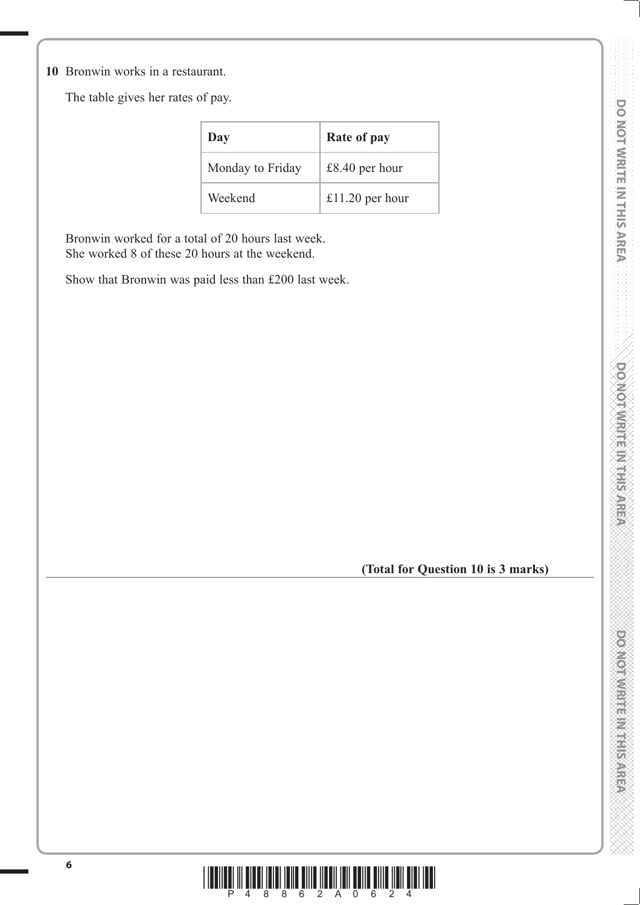**10** Bronwin works in a restaurant.

The table gives her rates of pay.

| Day              | Rate of pay     |
|------------------|-----------------|
| Monday to Friday | £8.40 per hour  |
| Weekend          | £11.20 per hour |

 Bronwin worked for a total of 20 hours last week. She worked 8 of these 20 hours at the weekend.

Show that Bronwin was paid less than £200 last week.

**(Total for Question 10 is 3 marks)**

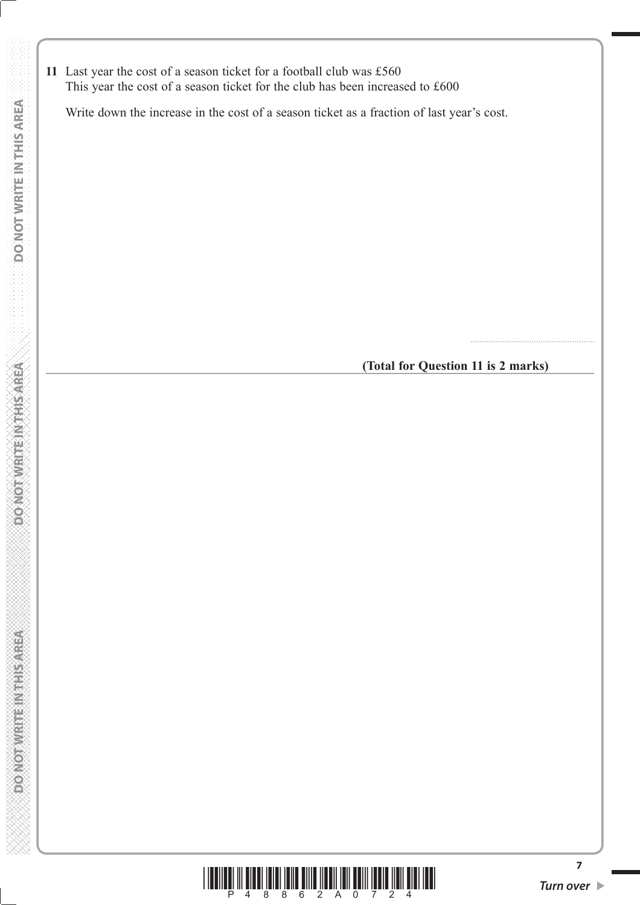**11** Last year the cost of a season ticket for a football club was £560 This year the cost of a season ticket for the club has been increased to £600

Write down the increase in the cost of a season ticket as a fraction of last year's cost.

**(Total for Question 11 is 2 marks)**

.......................................................



**7**

**DO NOT WRITE IN THIS AREA**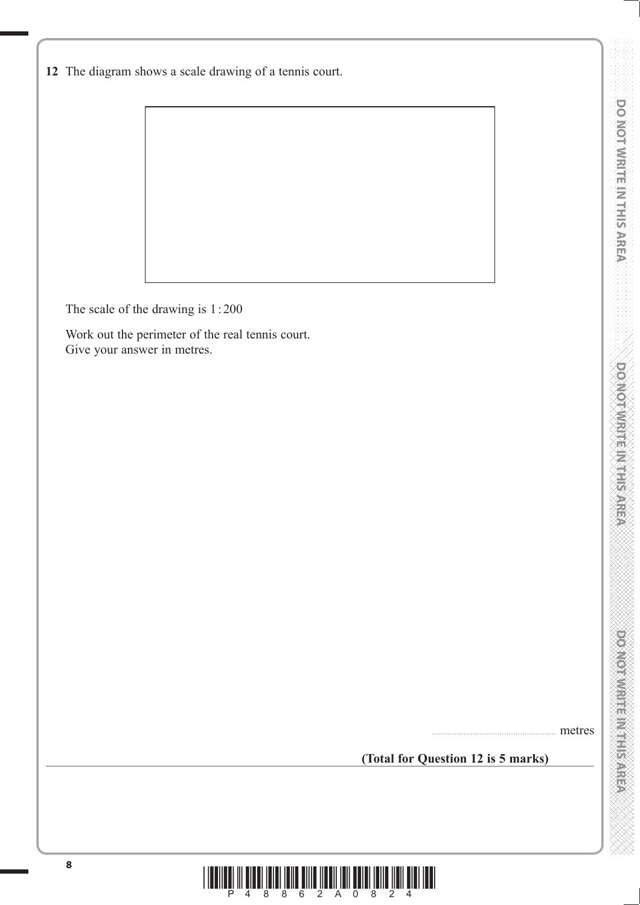The scale of the drawing is 1 : 200

 Work out the perimeter of the real tennis court. Give your answer in metres.

**(Total for Question 12 is 5 marks)**

postos musicalmentes experiences

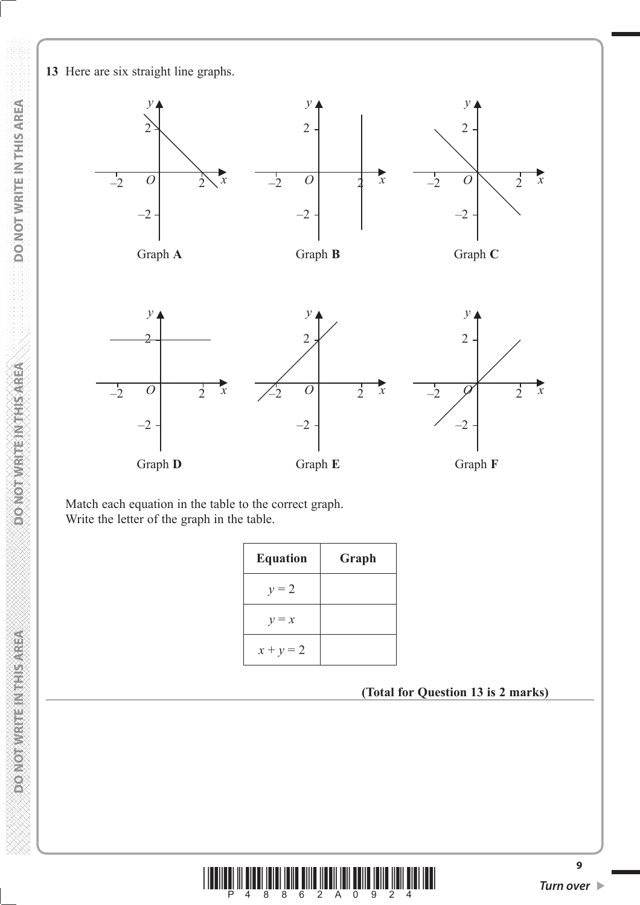**PONOT WRITEIN THIS AREA** 



 Match each equation in the table to the correct graph. Write the letter of the graph in the table.

| <b>Equation</b> | Graph |
|-----------------|-------|
| $y = 2$         |       |
| $y = x$         |       |
| $x + y = 2$     |       |

**(Total for Question 13 is 2 marks)**

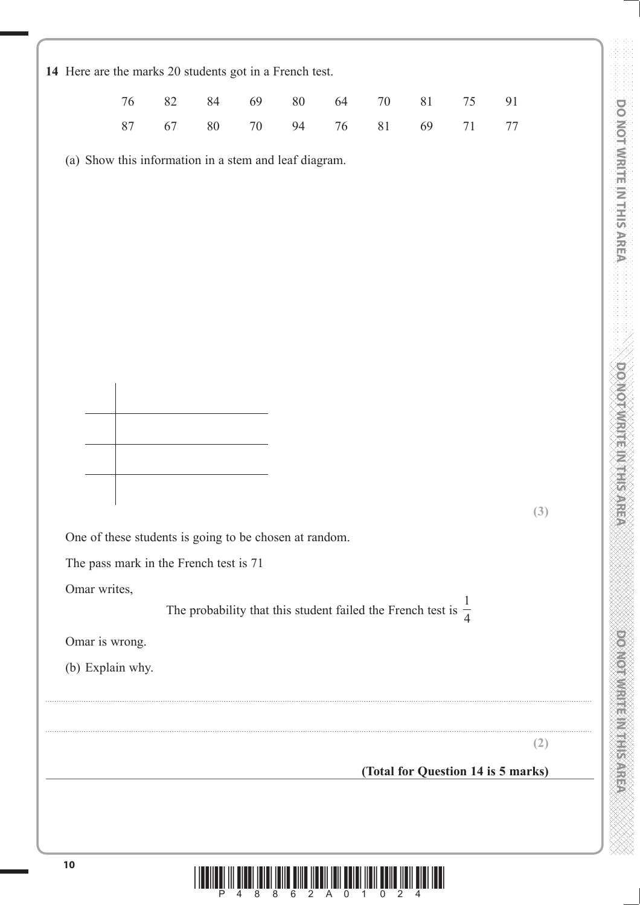|                                                        | 76     | $82\,$ | 84     | 69     | $80\,$ | 64     | $70\,$                                                                    | $81\,$ | $75\,$ | 91                                 |
|--------------------------------------------------------|--------|--------|--------|--------|--------|--------|---------------------------------------------------------------------------|--------|--------|------------------------------------|
|                                                        | $87\,$ | 67     | $80\,$ | $70\,$ | 94     | $76\,$ | $81\,$                                                                    | 69     | 71     | 77                                 |
| (a) Show this information in a stem and leaf diagram.  |        |        |        |        |        |        |                                                                           |        |        |                                    |
|                                                        |        |        |        |        |        |        |                                                                           |        |        |                                    |
|                                                        |        |        |        |        |        |        |                                                                           |        |        |                                    |
|                                                        |        |        |        |        |        |        |                                                                           |        |        |                                    |
|                                                        |        |        |        |        |        |        |                                                                           |        |        |                                    |
|                                                        |        |        |        |        |        |        |                                                                           |        |        |                                    |
|                                                        |        |        |        |        |        |        |                                                                           |        |        |                                    |
|                                                        |        |        |        |        |        |        |                                                                           |        |        |                                    |
|                                                        |        |        |        |        |        |        |                                                                           |        |        |                                    |
|                                                        |        |        |        |        |        |        |                                                                           |        |        |                                    |
|                                                        |        |        |        |        |        |        |                                                                           |        |        |                                    |
|                                                        |        |        |        |        |        |        |                                                                           |        |        |                                    |
|                                                        |        |        |        |        |        |        |                                                                           |        |        | (3)                                |
| One of these students is going to be chosen at random. |        |        |        |        |        |        |                                                                           |        |        |                                    |
| The pass mark in the French test is 71                 |        |        |        |        |        |        |                                                                           |        |        |                                    |
| Omar writes,                                           |        |        |        |        |        |        | The probability that this student failed the French test is $\frac{1}{4}$ |        |        |                                    |
|                                                        |        |        |        |        |        |        |                                                                           |        |        |                                    |
| Omar is wrong.<br>(b) Explain why.                     |        |        |        |        |        |        |                                                                           |        |        |                                    |
|                                                        |        |        |        |        |        |        |                                                                           |        |        |                                    |
|                                                        |        |        |        |        |        |        |                                                                           |        |        |                                    |
|                                                        |        |        |        |        |        |        |                                                                           |        |        | (2)                                |
|                                                        |        |        |        |        |        |        |                                                                           |        |        | (Total for Question 14 is 5 marks) |
|                                                        |        |        |        |        |        |        |                                                                           |        |        |                                    |
|                                                        |        |        |        |        |        |        |                                                                           |        |        |                                    |
|                                                        |        |        |        |        |        |        |                                                                           |        |        |                                    |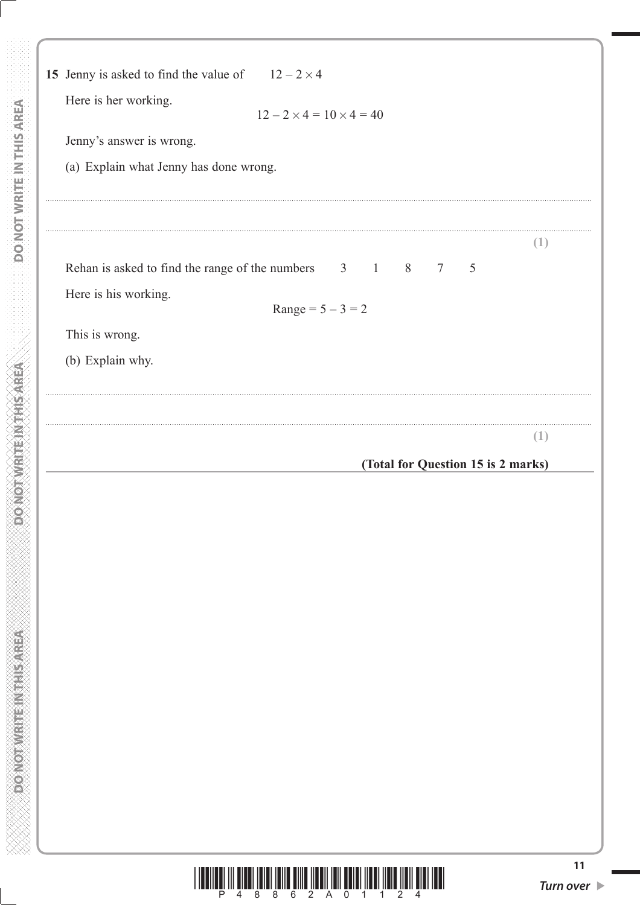| Here is her working.<br>Jenny's answer is wrong.                        | $12 - 2 \times 4 = 10 \times 4 = 40$                   |     |
|-------------------------------------------------------------------------|--------------------------------------------------------|-----|
| (a) Explain what Jenny has done wrong.                                  |                                                        |     |
|                                                                         |                                                        | (1) |
| Rehan is asked to find the range of the numbers<br>Here is his working. | $3 \t1$<br>8<br>$7\phantom{.0}$<br>$Range = 5 - 3 = 2$ | 5   |
| This is wrong.                                                          |                                                        |     |
| (b) Explain why.                                                        |                                                        |     |
|                                                                         |                                                        | (1) |
|                                                                         | (Total for Question 15 is 2 marks)                     |     |
|                                                                         |                                                        |     |
|                                                                         |                                                        |     |
|                                                                         |                                                        |     |
|                                                                         |                                                        |     |
|                                                                         |                                                        |     |
|                                                                         |                                                        |     |
|                                                                         |                                                        |     |
|                                                                         |                                                        |     |

DO NOT WRITE IN THIS AREA

**DONOTWRITEINTHISAREA**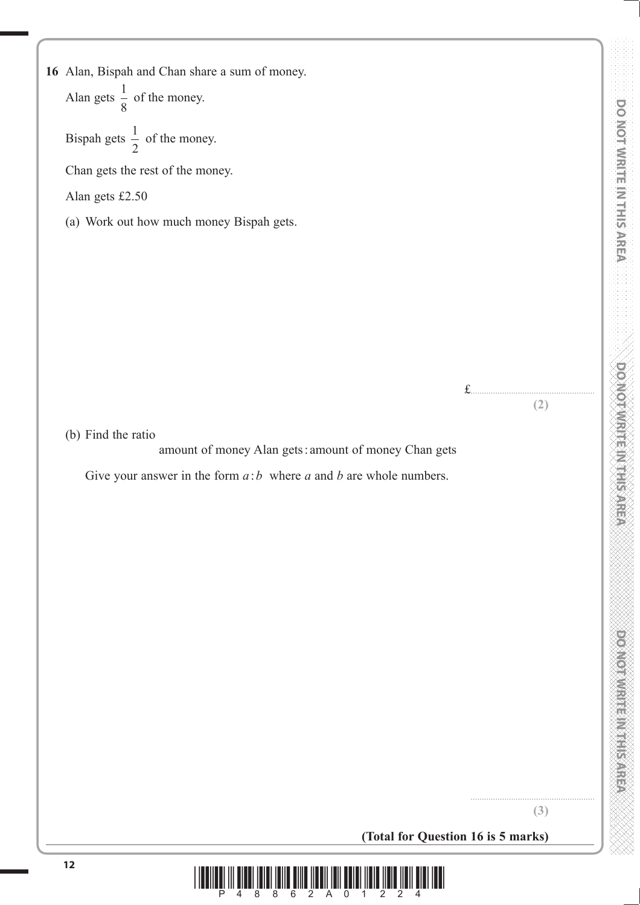**16** Alan, Bispah and Chan share a sum of money. Alan gets  $\frac{1}{8}$  of the money.

Bispah gets  $\frac{1}{2}$  of the money.

Chan gets the rest of the money.

Alan gets £2.50

(a) Work out how much money Bispah gets.

£.......................................................

**(2)**

(b) Find the ratio

amount of money Alan gets : amount of money Chan gets

Give your answer in the form  $a:b$  where  $a$  and  $b$  are whole numbers.

**(3)**

.......................................................

**(Total for Question 16 is 5 marks)**

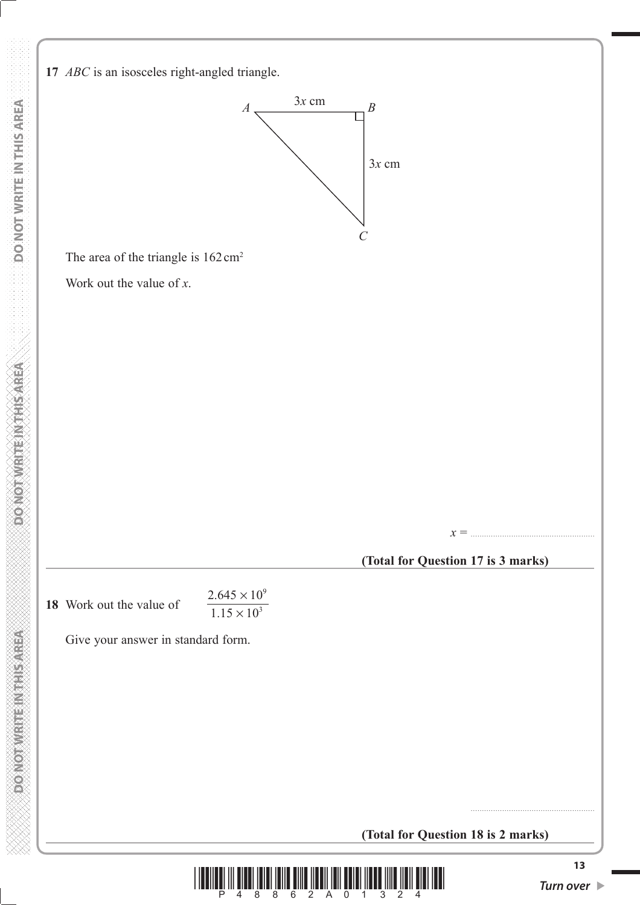**DONOT WRITEINTHIS AREA** 





The area of the triangle is  $162 \text{ cm}^2$ 

Work out the value of *x*.

*x* = .......................................................

#### **(Total for Question 17 is 3 marks)**

**18** Work out the value of

 $2.645 \times 10$  $1.15 \times 10$ 9 3 . .  $\times$ ×

Give your answer in standard form.

**(Total for Question 18 is 2 marks)**



.......................................................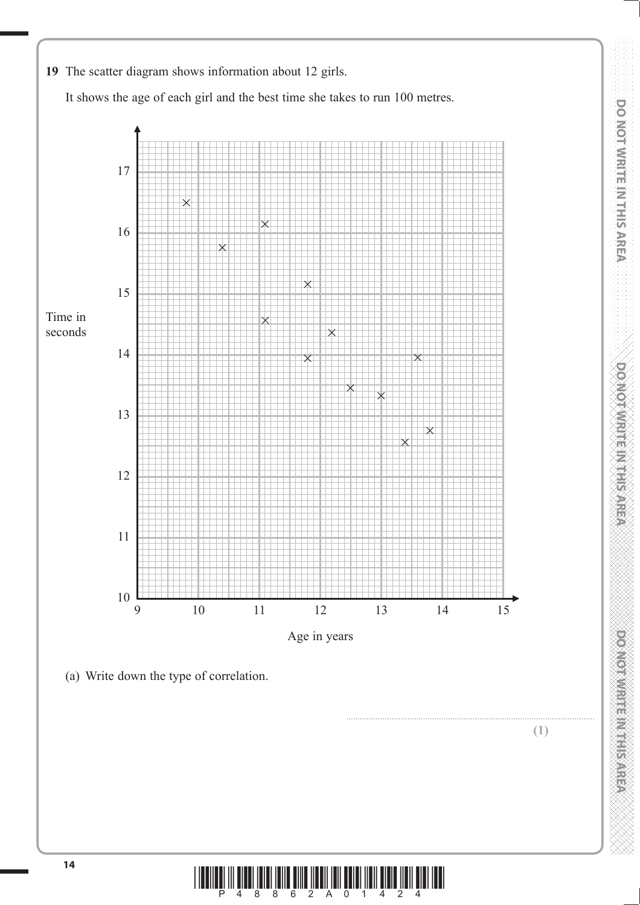

**DO NOT WRITE IN THIS AREA DO NOT WRITE IN THIS AREA DO NOT WRITE IN THIS AREA DO NOT WRITE IN THIS AREA DO NOT WRITE IN THIS AREA DO NOT WRITE IN THIS AREA DO NOT WRITE IN THIS AREA DO NOT WRITE IN THIS AREA DO NOT WRITE** 

**DO NOT WRITE INTHIS AREA** 

**CONCRETE METALSAREA** 

DO NOTWRITE IN THIS AREA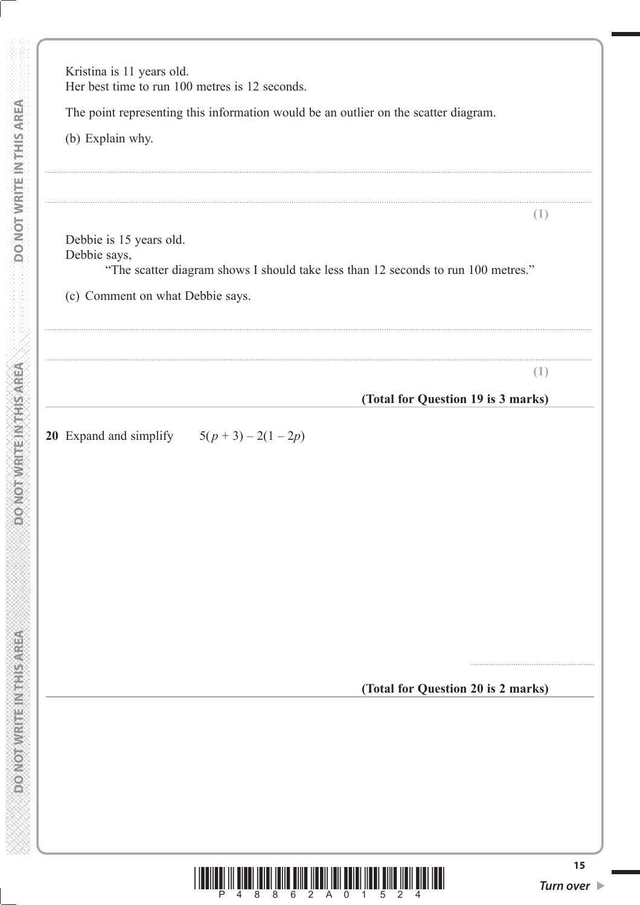|                                  | The point representing this information would be an outlier on the scatter diagram. |
|----------------------------------|-------------------------------------------------------------------------------------|
| (b) Explain why.                 |                                                                                     |
|                                  |                                                                                     |
| Debbie is 15 years old.          | (1)                                                                                 |
| Debbie says,                     | "The scatter diagram shows I should take less than 12 seconds to run 100 metres."   |
| (c) Comment on what Debbie says. |                                                                                     |
|                                  |                                                                                     |
|                                  |                                                                                     |
|                                  | (1)                                                                                 |
|                                  | (Total for Question 19 is 3 marks)                                                  |
|                                  |                                                                                     |
|                                  |                                                                                     |
|                                  |                                                                                     |
|                                  | (Total for Question 20 is 2 marks)                                                  |
|                                  |                                                                                     |
|                                  |                                                                                     |

**DO NOT WRITE IN THIS AREA** 

**DO NOT WRITE IN THIS AREA**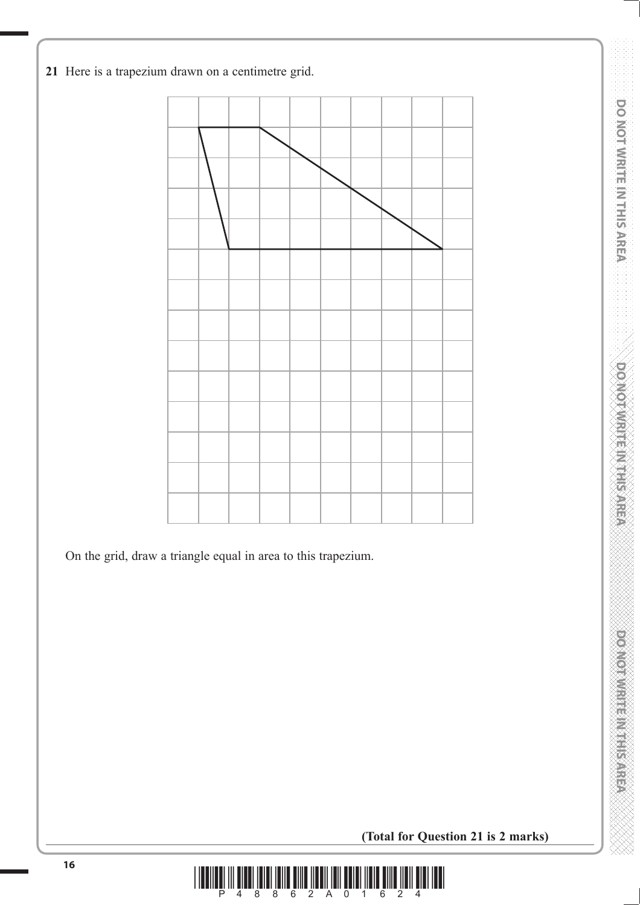



On the grid, draw a triangle equal in area to this trapezium.

**(Total for Question 21 is 2 marks)**

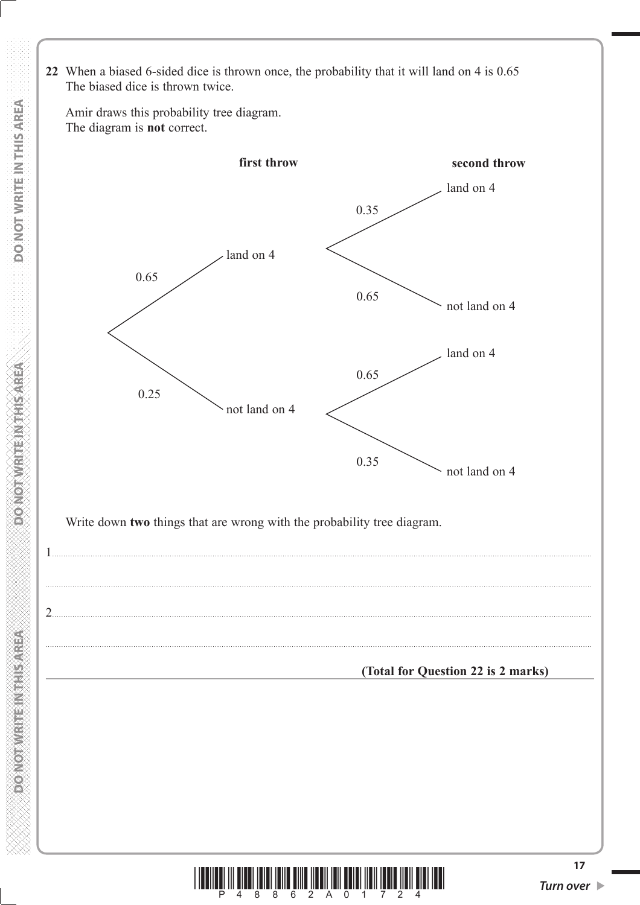Amir draws this probability tree diagram. The diagram is not correct. first throw second throw land on 4 0.35 land on 4 0.65 0.65 not land on 4 land on 4 0.65  $0.25$ not land on 4 0.35 not land on 4 Write down two things that are wrong with the probability tree diagram.  $\frac{1}{2}$ (Total for Question 22 is 2 marks) | **|| || ||** || || ||<br>8

 $\overline{8}$ 

 $\overline{6}$ 

 $\overline{0}$ 

 $2 A$ 

 $17$ 

**MEET ASSESSED AND AN ANONY OF A** 

22 When a biased 6-sided dice is thrown once, the probability that it will land on 4 is 0.65 The biased dice is thrown twice.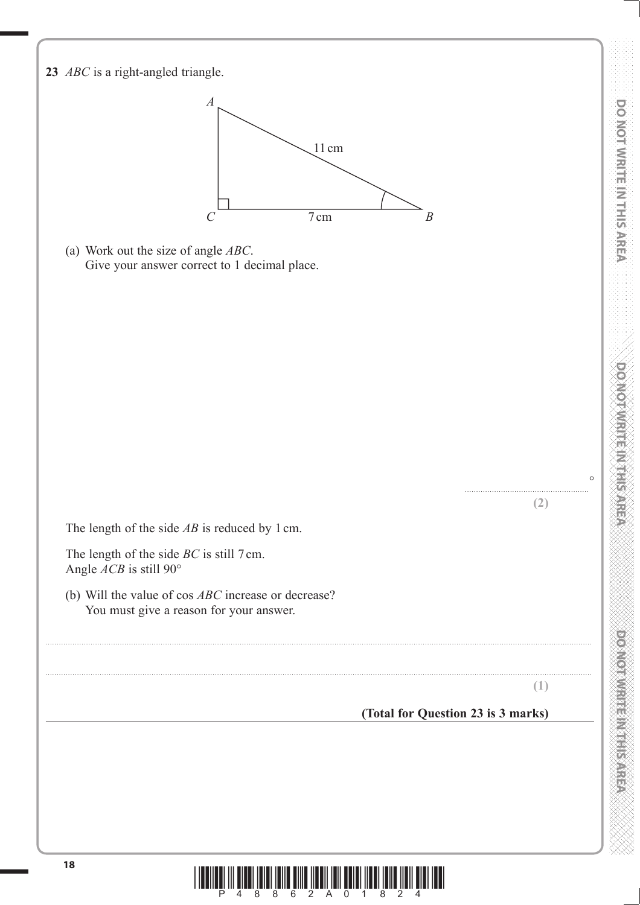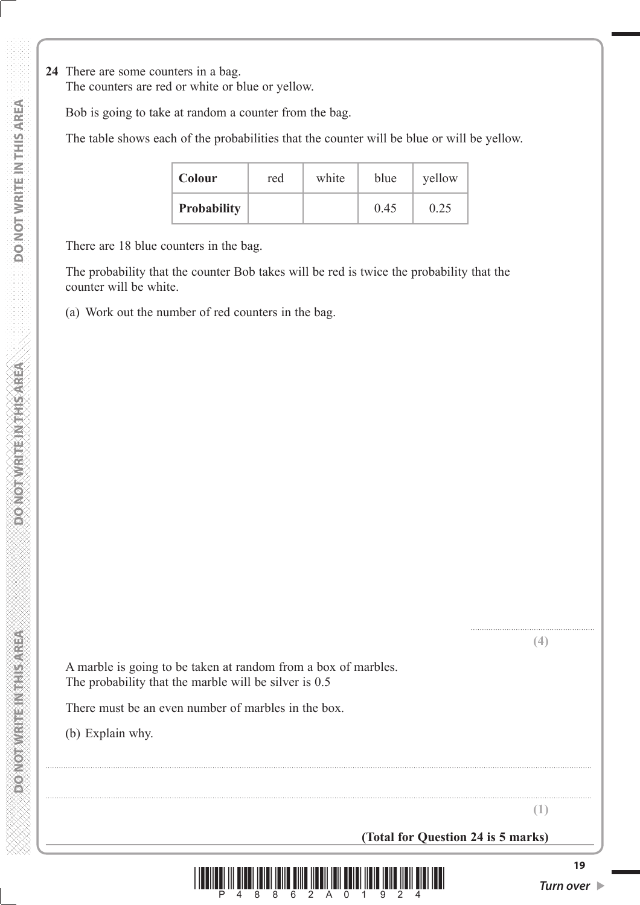**24** There are some counters in a bag.

The counters are red or white or blue or yellow.

Bob is going to take at random a counter from the bag.

The table shows each of the probabilities that the counter will be blue or will be yellow.

| <b>Colour</b>      | red | white | blue | yellow |
|--------------------|-----|-------|------|--------|
| <b>Probability</b> |     |       | 0.45 | 0.25   |

There are 18 blue counters in the bag.

 The probability that the counter Bob takes will be red is twice the probability that the counter will be white.

(a) Work out the number of red counters in the bag.

 A marble is going to be taken at random from a box of marbles. The probability that the marble will be silver is 0.5

There must be an even number of marbles in the box.

(b) Explain why.

**(Total for Question 24 is 5 marks)**



..................................................................................................................................................................................................................................................

..................................................................................................................................................................................................................................................

....................................................... **(4)**

**(1)**

*<u>RESPERING BRIGHTS CONSIGLER</u>*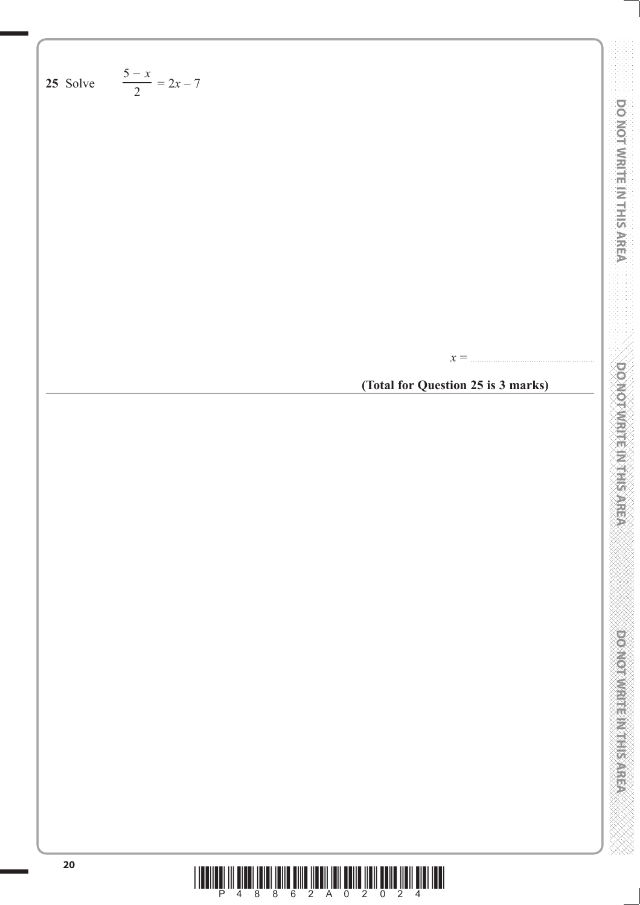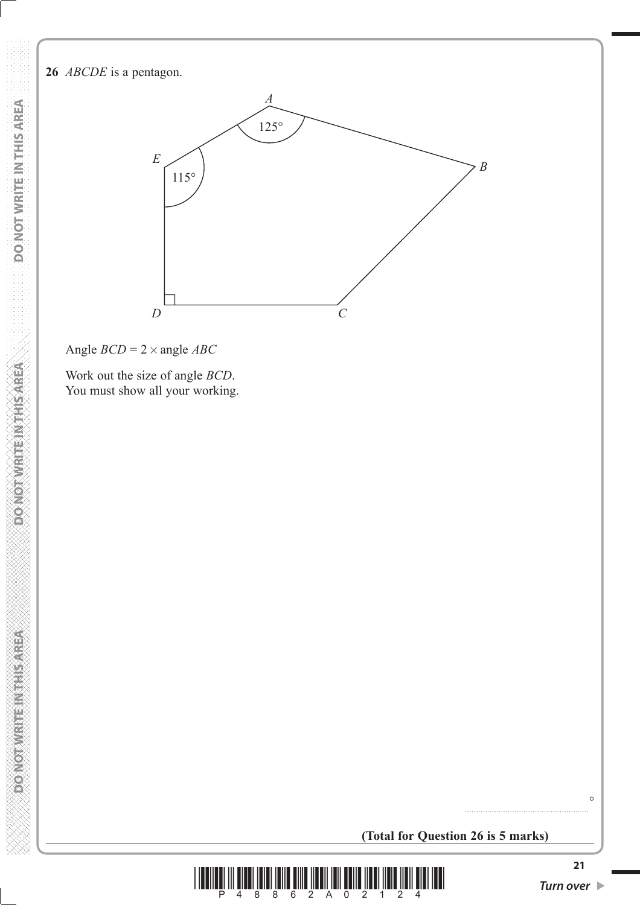#### **26** *ABCDE* is a pentagon.



Angle *BCD* = 2× angle *ABC*

 **DO NOT WRITE IN THIS AREA DO NOT WRITE IN THIS AREA DO NOT WRITE IN THIS AREA DO NOT WRITE IN THIS AREA DO NOT** 

**DONOT WRITEINTHIS AREA** 

**DONOT WRITE NATHS AREA** 

DO NOT WRITE IN THIS AREA

 Work out the size of angle *BCD*. You must show all your working.

**(Total for Question 26 is 5 marks)**



 $\circ$ 

.......................................................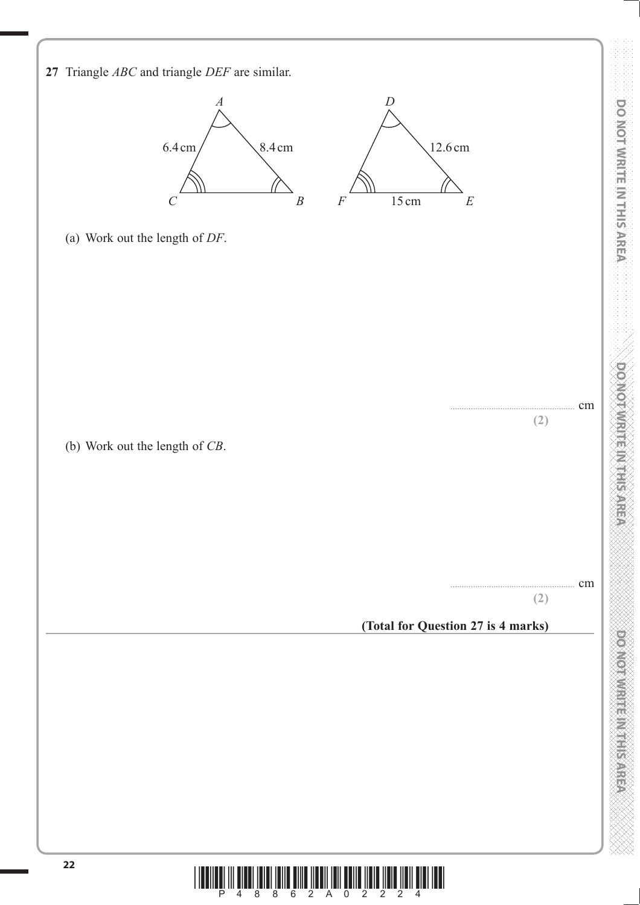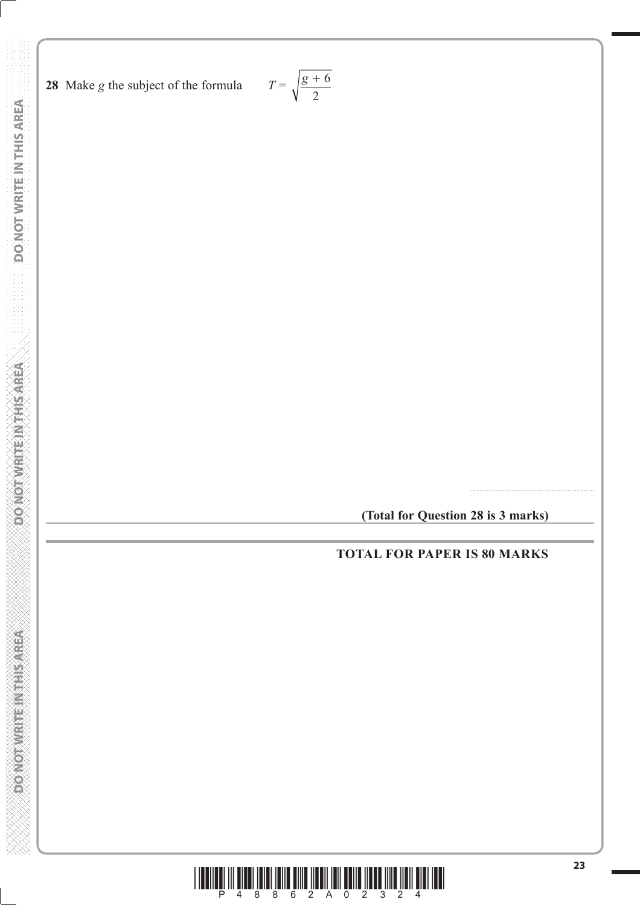**DO NOT WRITE IN THIS AREA DO NOT WRITE IN THIS AREA DO NOT WRITE IN THIS AREA DO NOT WRITE IN THIS AREA DO NOT** 

**DOMOTIVRITE NITHSAREA** 

**DO NOT WRITE IN THIS AREA** 

DO NOT WRITE IN THIS AREA

$$
T = \sqrt{\frac{g+6}{2}}
$$

**(Total for Question 28 is 3 marks)**

.......................................................

**TOTAL FOR PAPER IS 80 MARKS**